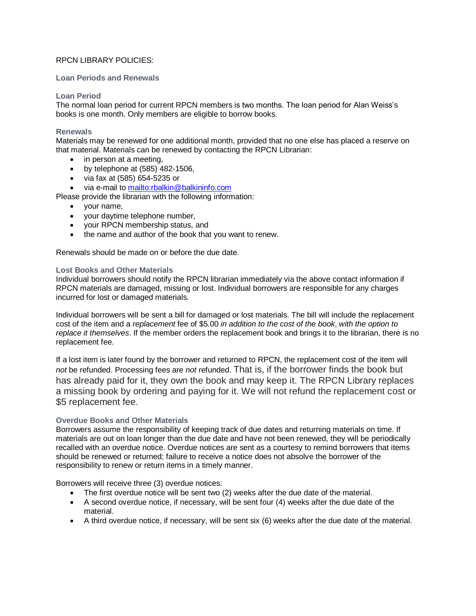# RPCN LIBRARY POLICIES:

## **Loan Periods and Renewals**

## **Loan Period**

The normal loan period for current RPCN members is two months. The loan period for Alan Weiss's books is one month. Only members are eligible to borrow books.

#### **Renewals**

Materials may be renewed for one additional month, provided that no one else has placed a reserve on that material. Materials can be renewed by contacting the RPCN Librarian:

- in person at a meeting,
- $\bullet$  by telephone at (585) 482-1506,
- via fax at (585) 654-5235 or
- via e-mail t[o mailto:rbalkin@balkininfo.com](mailto:rbalkin@balkininfo.com)

Please provide the librarian with the following information:

- your name,
- your daytime telephone number,
- your RPCN membership status, and
- the name and author of the book that you want to renew.

Renewals should be made on or before the due date.

# **Lost Books and Other Materials**

Individual borrowers should notify the RPCN librarian immediately via the above contact information if RPCN materials are damaged, missing or lost. Individual borrowers are responsible for any charges incurred for lost or damaged materials.

Individual borrowers will be sent a bill for damaged or lost materials. The bill will include the replacement cost of the item and a *replacement* fee of \$5.00 *in addition to the cost of the book*, *with the option to replace it themselves*. If the member orders the replacement book and brings it to the librarian, there is no replacement fee.

If a lost item is later found by the borrower and returned to RPCN, the replacement cost of the item will *not* be refunded. Processing fees are *not* refunded. That is, if the borrower finds the book but has already paid for it, they own the book and may keep it. The RPCN Library replaces a missing book by ordering and paying for it. We will not refund the replacement cost or \$5 replacement fee.

# **Overdue Books and Other Materials**

Borrowers assume the responsibility of keeping track of due dates and returning materials on time. If materials are out on loan longer than the due date and have not been renewed, they will be periodically recalled with an overdue notice. Overdue notices are sent as a courtesy to remind borrowers that items should be renewed or returned; failure to receive a notice does not absolve the borrower of the responsibility to renew or return items in a timely manner.

Borrowers will receive three (3) overdue notices:

- The first overdue notice will be sent two (2) weeks after the due date of the material.
- A second overdue notice, if necessary, will be sent four (4) weeks after the due date of the material.
- A third overdue notice, if necessary, will be sent six (6) weeks after the due date of the material.